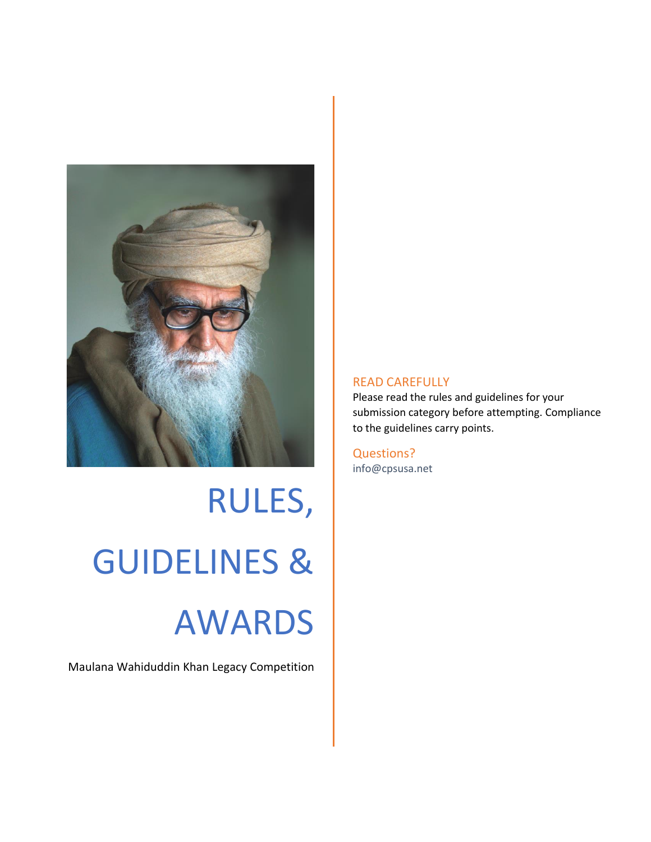

RULES, GUIDELINES & AWARDS

Maulana Wahiduddin Khan Legacy Competition

### READ CAREFULLY

Please read the rules and guidelines for your submission category before attempting. Compliance to the guidelines carry points.

Questions? info@cpsusa.net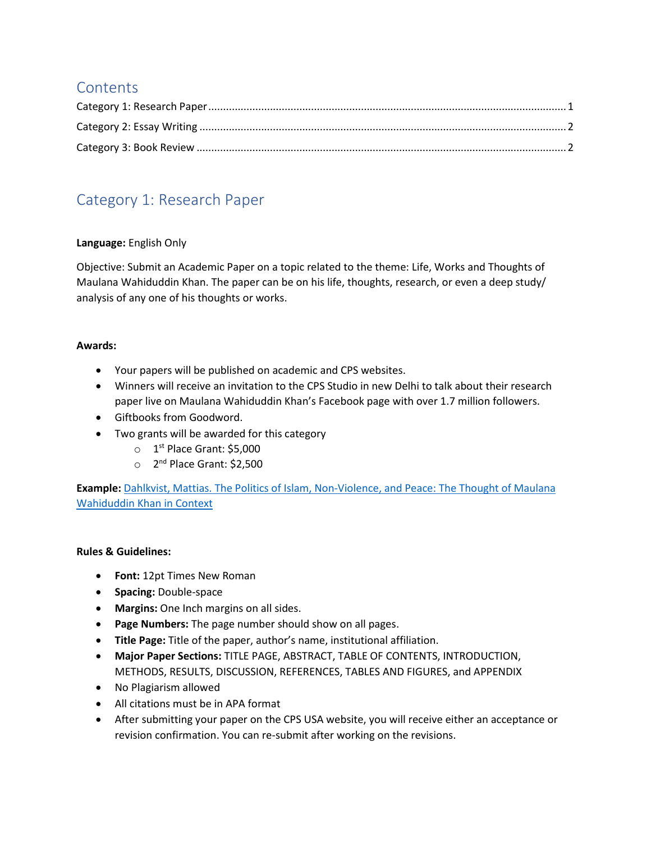# **Contents**

# <span id="page-1-0"></span>Category 1: Research Paper

## **Language:** English Only

Objective: Submit an Academic Paper on a topic related to the theme: Life, Works and Thoughts of Maulana Wahiduddin Khan. The paper can be on his life, thoughts, research, or even a deep study/ analysis of any one of his thoughts or works.

### **Awards:**

- Your papers will be published on academic and CPS websites.
- Winners will receive an invitation to the CPS Studio in new Delhi to talk about their research paper live on Maulana Wahiduddin Khan's Facebook page with over 1.7 million followers.
- Giftbooks from Goodword.
- Two grants will be awarded for this category
	- o 1<sup>st</sup> Place Grant: \$5,000
	- o 2<sup>nd</sup> Place Grant: \$2,500

**Example:** [Dahlkvist, Mattias. The Politics of Islam, Non-Violence, and Peace:](http://www.diva-portal.org/smash/get/diva2:1371009/FULLTEXT02.pdf) The Thought of Maulana [Wahiduddin Khan in Context](http://www.diva-portal.org/smash/get/diva2:1371009/FULLTEXT02.pdf)

### **Rules & Guidelines:**

- **Font:** 12pt Times New Roman
- **Spacing:** Double-space
- **Margins:** One Inch margins on all sides.
- **Page Numbers:** The page number should show on all pages.
- **Title Page:** Title of the paper, author's name, institutional affiliation.
- **Major Paper Sections:** TITLE PAGE, ABSTRACT, TABLE OF CONTENTS, INTRODUCTION, METHODS, RESULTS, DISCUSSION, REFERENCES, TABLES AND FIGURES, and APPENDIX
- No Plagiarism allowed
- All citations must be in APA format
- After submitting your paper on the CPS USA website, you will receive either an acceptance or revision confirmation. You can re-submit after working on the revisions.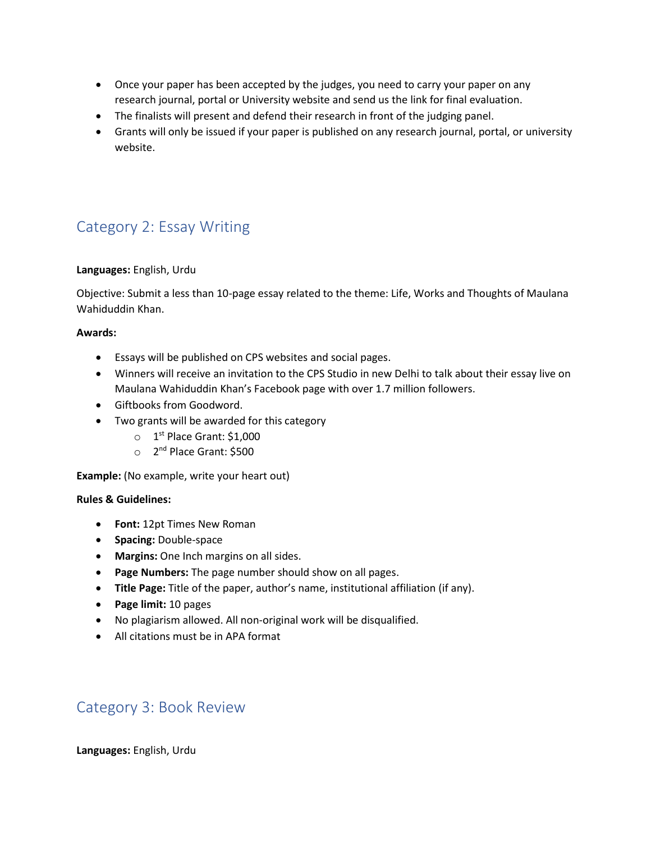- Once your paper has been accepted by the judges, you need to carry your paper on any research journal, portal or University website and send us the link for final evaluation.
- The finalists will present and defend their research in front of the judging panel.
- Grants will only be issued if your paper is published on any research journal, portal, or university website.

# <span id="page-2-0"></span>Category 2: Essay Writing

#### **Languages:** English, Urdu

Objective: Submit a less than 10-page essay related to the theme: Life, Works and Thoughts of Maulana Wahiduddin Khan.

#### **Awards:**

- Essays will be published on CPS websites and social pages.
- Winners will receive an invitation to the CPS Studio in new Delhi to talk about their essay live on Maulana Wahiduddin Khan's Facebook page with over 1.7 million followers.
- Giftbooks from Goodword.
- Two grants will be awarded for this category
	- $\circ$  1<sup>st</sup> Place Grant: \$1,000
	- o 2<sup>nd</sup> Place Grant: \$500

**Example:** (No example, write your heart out)

### **Rules & Guidelines:**

- **Font:** 12pt Times New Roman
- **Spacing:** Double-space
- **Margins:** One Inch margins on all sides.
- **Page Numbers:** The page number should show on all pages.
- **Title Page:** Title of the paper, author's name, institutional affiliation (if any).
- **Page limit:** 10 pages
- No plagiarism allowed. All non-original work will be disqualified.
- All citations must be in APA format

# <span id="page-2-1"></span>Category 3: Book Review

**Languages:** English, Urdu